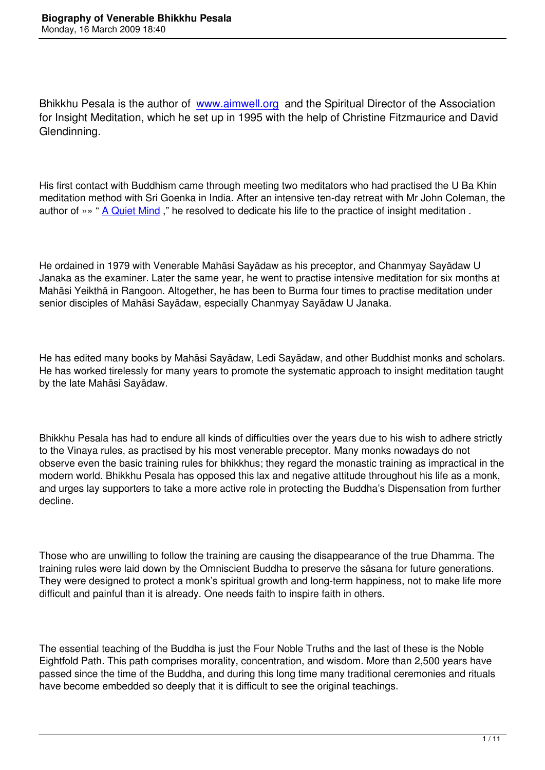Bhikkhu Pesala is the author of www.aimwell.org and the Spiritual Director of the Association for Insight Meditation, which he set up in 1995 with the help of Christine Fitzmaurice and David Glendinning.

His first contact with Buddhism came through meeting two meditators who had practised the U Ba Khin meditation method with Sri Goenka in India. After an intensive ten-day retreat with Mr John Coleman, the author of »» " A Quiet Mind," he resolved to dedicate his life to the practice of insight meditation.

He ordained i[n 1979 with Ve](http://www.wisdom-books.com/ProductDetail.asp?CatNumber=9513)nerable Mahāsi Sayādaw as his preceptor, and Chanmyay Sayādaw U Janaka as the examiner. Later the same year, he went to practise intensive meditation for six months at Mahāsi Yeikthā in Rangoon. Altogether, he has been to Burma four times to practise meditation under senior disciples of Mahāsi Sayādaw, especially Chanmyay Sayādaw U Janaka.

He has edited many books by Mahāsi Sayādaw, Ledi Sayādaw, and other Buddhist monks and scholars. He has worked tirelessly for many years to promote the systematic approach to insight meditation taught by the late Mahāsi Sayādaw.

Bhikkhu Pesala has had to endure all kinds of difficulties over the years due to his wish to adhere strictly to the Vinaya rules, as practised by his most venerable preceptor. Many monks nowadays do not observe even the basic training rules for bhikkhus; they regard the monastic training as impractical in the modern world. Bhikkhu Pesala has opposed this lax and negative attitude throughout his life as a monk, and urges lay supporters to take a more active role in protecting the Buddha's Dispensation from further decline.

Those who are unwilling to follow the training are causing the disappearance of the true Dhamma. The training rules were laid down by the Omniscient Buddha to preserve the sāsana for future generations. They were designed to protect a monk's spiritual growth and long-term happiness, not to make life more difficult and painful than it is already. One needs faith to inspire faith in others.

The essential teaching of the Buddha is just the Four Noble Truths and the last of these is the Noble Eightfold Path. This path comprises morality, concentration, and wisdom. More than 2,500 years have passed since the time of the Buddha, and during this long time many traditional ceremonies and rituals have become embedded so deeply that it is difficult to see the original teachings.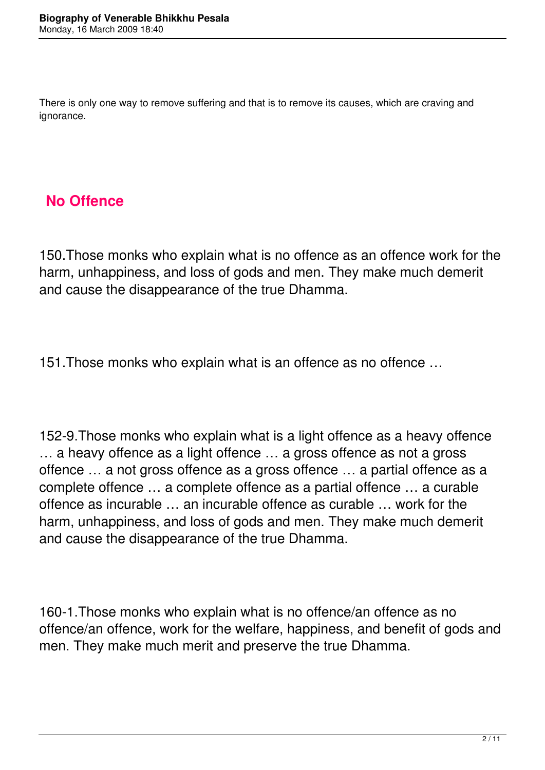There is only one way to remove suffering and that is to remove its causes, which are craving and ignorance.

#### **No Offence**

150.Those monks who explain what is no offence as an offence work for the harm, unhappiness, and loss of gods and men. They make much demerit and cause the disappearance of the true Dhamma.

151.Those monks who explain what is an offence as no offence …

152-9.Those monks who explain what is a light offence as a heavy offence … a heavy offence as a light offence … a gross offence as not a gross offence … a not gross offence as a gross offence … a partial offence as a complete offence … a complete offence as a partial offence … a curable offence as incurable … an incurable offence as curable … work for the harm, unhappiness, and loss of gods and men. They make much demerit and cause the disappearance of the true Dhamma.

160-1.Those monks who explain what is no offence/an offence as no offence/an offence, work for the welfare, happiness, and benefit of gods and men. They make much merit and preserve the true Dhamma.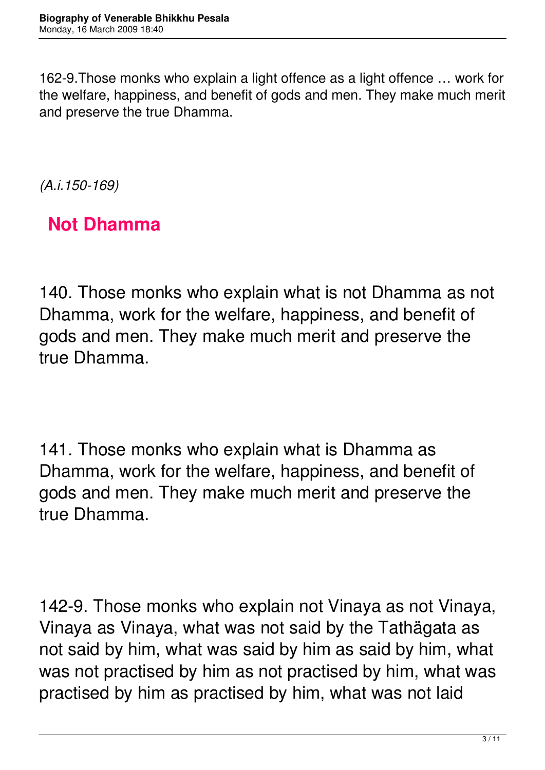162-9.Those monks who explain a light offence as a light offence … work for the welfare, happiness, and benefit of gods and men. They make much merit and preserve the true Dhamma.

*(A.i.150-169)*

**Not Dhamma**

140. Those monks who explain what is not Dhamma as not Dhamma, work for the welfare, happiness, and benefit of gods and men. They make much merit and preserve the true Dhamma.

141. Those monks who explain what is Dhamma as Dhamma, work for the welfare, happiness, and benefit of gods and men. They make much merit and preserve the true Dhamma.

142-9. Those monks who explain not Vinaya as not Vinaya, Vinaya as Vinaya, what was not said by the Tathägata as not said by him, what was said by him as said by him, what was not practised by him as not practised by him, what was practised by him as practised by him, what was not laid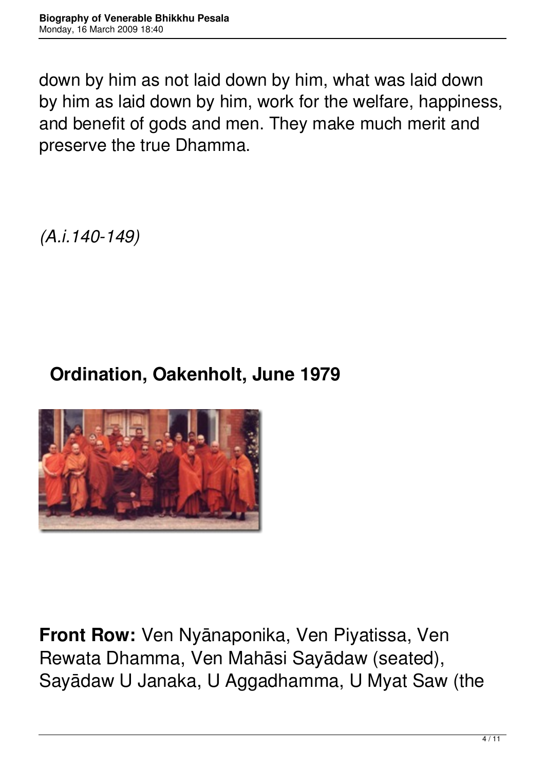down by him as not laid down by him, what was laid down by him as laid down by him, work for the welfare, happiness, and benefit of gods and men. They make much merit and preserve the true Dhamma.

*(A.i.140-149)*

#### **Ordination, Oakenholt, June 1979**



**Front Row:** Ven Nyānaponika, Ven Piyatissa, Ven Rewata Dhamma, Ven Mahāsi Sayādaw (seated), Sayādaw U Janaka, U Aggadhamma, U Myat Saw (the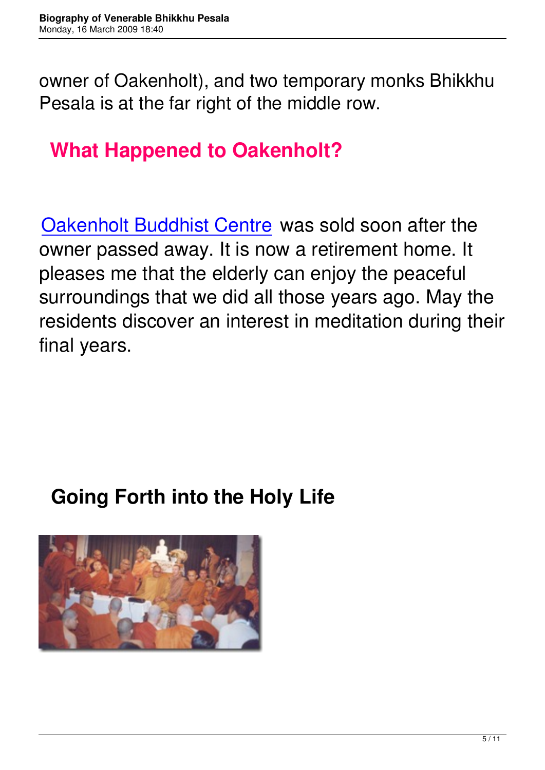owner of Oakenholt), and two temporary monks Bhikkhu Pesala is at the far right of the middle row.

# **What Happened to Oakenholt?**

Oakenholt Buddhist Centre was sold soon after the owner passed away. It is now a retirement home. It [pleases me that the elderly](http://www.oakenholt.co.uk/) can enjoy the peaceful surroundings that we did all those years ago. May the residents discover an interest in meditation during their final years.

#### **Going Forth into the Holy Life**

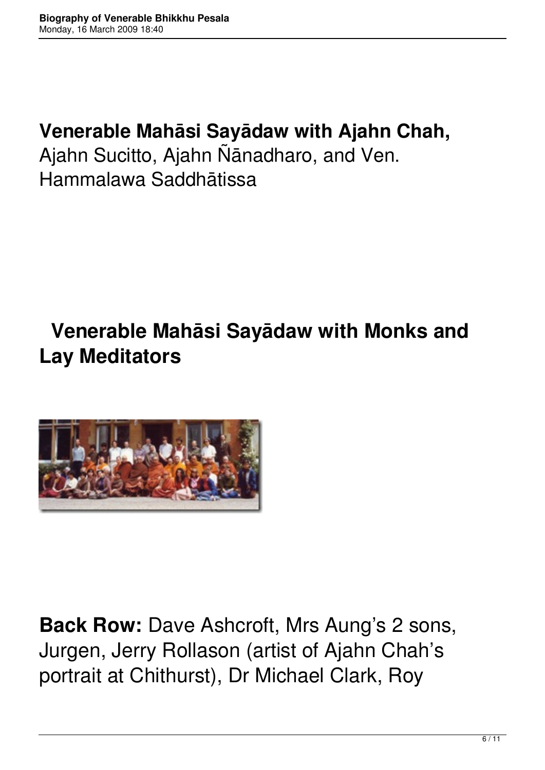#### **Venerable Mahāsi Sayādaw with Ajahn Chah,**

Ajahn Sucitto, Ajahn Ñānadharo, and Ven. Hammalawa Saddhātissa

# **Venerable Mahāsi Sayādaw with Monks and Lay Meditators**



**Back Row:** Dave Ashcroft, Mrs Aung's 2 sons, Jurgen, Jerry Rollason (artist of Ajahn Chah's portrait at Chithurst), Dr Michael Clark, Roy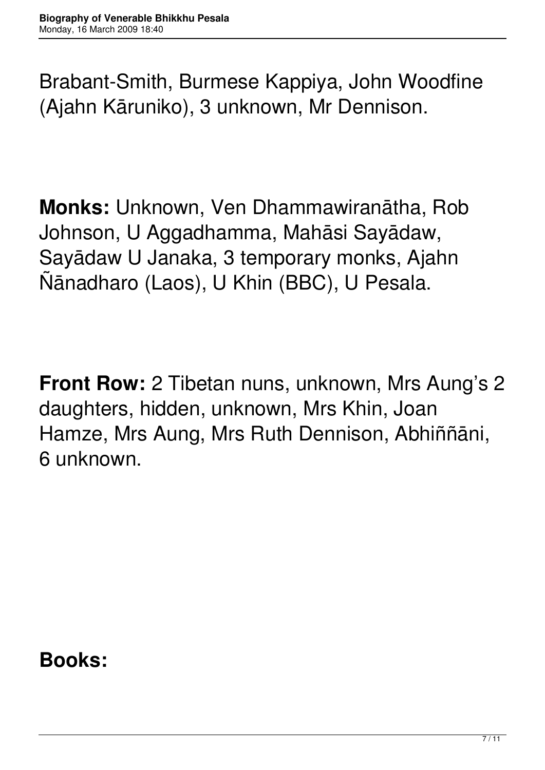Brabant-Smith, Burmese Kappiya, John Woodfine (Ajahn Kāruniko), 3 unknown, Mr Dennison.

**Monks:** Unknown, Ven Dhammawiranātha, Rob Johnson, U Aggadhamma, Mahāsi Sayādaw, Sayādaw U Janaka, 3 temporary monks, Ajahn Ñānadharo (Laos), U Khin (BBC), U Pesala.

**Front Row:** 2 Tibetan nuns, unknown, Mrs Aung's 2 daughters, hidden, unknown, Mrs Khin, Joan Hamze, Mrs Aung, Mrs Ruth Dennison, Abhiññāni, 6 unknown.

**Books:**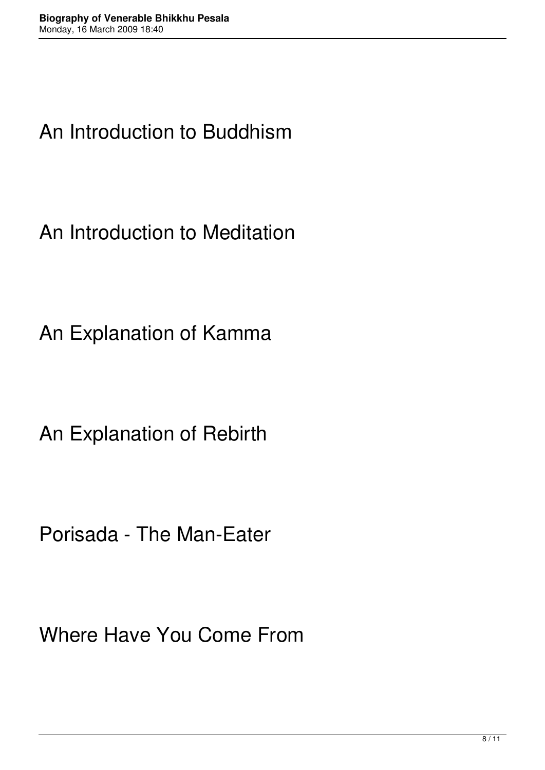### An Introduction to Buddhism

An Introduction to Meditation

An Explanation of Kamma

An Explanation of Rebirth

Porisada - The Man-Eater

Where Have You Come From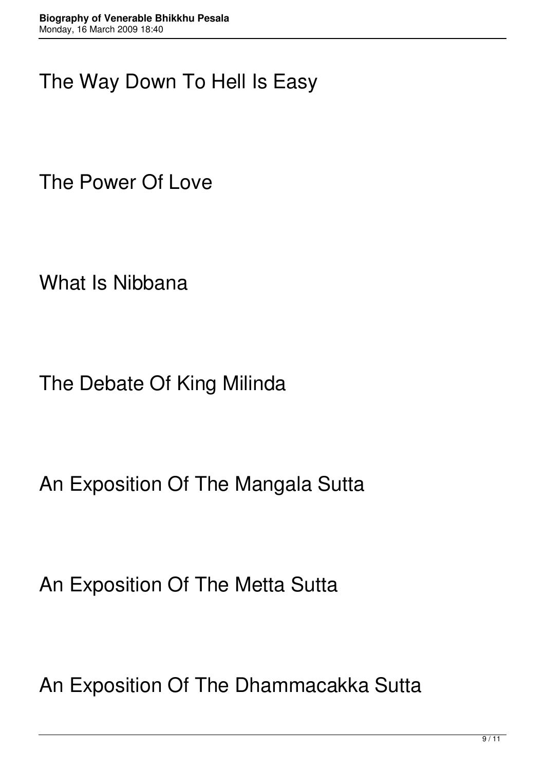### The Way Down To Hell Is Easy

The Power Of Love

What Is Nibbana

The Debate Of King Milinda

An Exposition Of The Mangala Sutta

An Exposition Of The Metta Sutta

An Exposition Of The Dhammacakka Sutta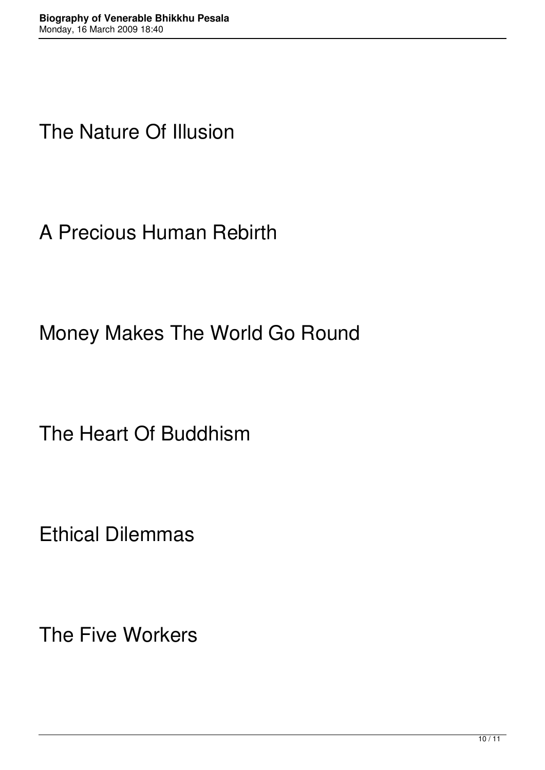### The Nature Of Illusion

A Precious Human Rebirth

Money Makes The World Go Round

The Heart Of Buddhism

Ethical Dilemmas

The Five Workers